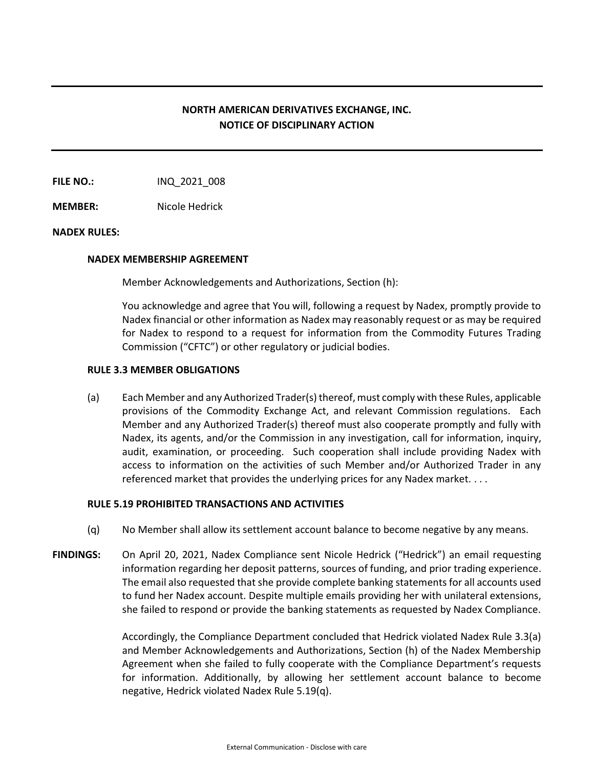# **NORTH AMERICAN DERIVATIVES EXCHANGE, INC. NOTICE OF DISCIPLINARY ACTION**

**FILE NO.:** INQ 2021 008

**MEMBER:** Nicole Hedrick

# **NADEX RULES:**

### **NADEX MEMBERSHIP AGREEMENT**

Member Acknowledgements and Authorizations, Section (h):

You acknowledge and agree that You will, following a request by Nadex, promptly provide to Nadex financial or other information as Nadex may reasonably request or as may be required for Nadex to respond to a request for information from the Commodity Futures Trading Commission ("CFTC") or other regulatory or judicial bodies.

# **RULE 3.3 MEMBER OBLIGATIONS**

(a) Each Member and any Authorized Trader(s) thereof, must comply with these Rules, applicable provisions of the Commodity Exchange Act, and relevant Commission regulations. Each Member and any Authorized Trader(s) thereof must also cooperate promptly and fully with Nadex, its agents, and/or the Commission in any investigation, call for information, inquiry, audit, examination, or proceeding. Such cooperation shall include providing Nadex with access to information on the activities of such Member and/or Authorized Trader in any referenced market that provides the underlying prices for any Nadex market. . . .

# **RULE 5.19 PROHIBITED TRANSACTIONS AND ACTIVITIES**

- (q) No Member shall allow its settlement account balance to become negative by any means.
- **FINDINGS:** On April 20, 2021, Nadex Compliance sent Nicole Hedrick ("Hedrick") an email requesting information regarding her deposit patterns, sources of funding, and prior trading experience. The email also requested that she provide complete banking statements for all accounts used to fund her Nadex account. Despite multiple emails providing her with unilateral extensions, she failed to respond or provide the banking statements as requested by Nadex Compliance.

Accordingly, the Compliance Department concluded that Hedrick violated Nadex Rule 3.3(a) and Member Acknowledgements and Authorizations, Section (h) of the Nadex Membership Agreement when she failed to fully cooperate with the Compliance Department's requests for information. Additionally, by allowing her settlement account balance to become negative, Hedrick violated Nadex Rule 5.19(q).